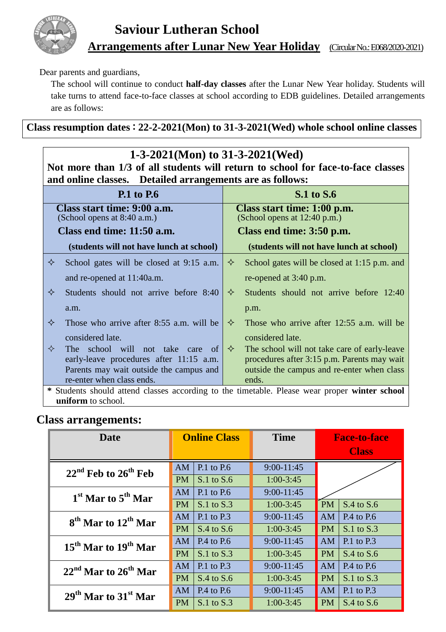

Dear parents and guardians,

The school will continue to conduct **half-day classes** after the Lunar New Year holiday. Students will take turns to attend face-to-face classes at school according to EDB guidelines. Detailed arrangements are as follows:

**Class resumption dates**:**22-2-2021(Mon) to 31-3-2021(Wed) whole school online classes**

| 1-3-2021(Mon) to 31-3-2021(Wed)                                                               |                                                             |  |  |  |  |  |  |
|-----------------------------------------------------------------------------------------------|-------------------------------------------------------------|--|--|--|--|--|--|
| Not more than 1/3 of all students will return to school for face-to-face classes              |                                                             |  |  |  |  |  |  |
| and online classes. Detailed arrangements are as follows:                                     |                                                             |  |  |  |  |  |  |
| <b>P.1</b> to P.6                                                                             | <b>S.1</b> to <b>S.6</b>                                    |  |  |  |  |  |  |
| Class start time: 9:00 a.m.<br>(School opens at 8:40 a.m.)                                    | Class start time: 1:00 p.m.<br>(School opens at 12:40 p.m.) |  |  |  |  |  |  |
| Class end time: 11:50 a.m.                                                                    | Class end time: 3:50 p.m.                                   |  |  |  |  |  |  |
| (students will not have lunch at school)                                                      | (students will not have lunch at school)                    |  |  |  |  |  |  |
| ✧<br>School gates will be closed at 9:15 a.m.                                                 | ✧<br>School gates will be closed at 1:15 p.m. and           |  |  |  |  |  |  |
| and re-opened at 11:40a.m.                                                                    | re-opened at 3:40 p.m.                                      |  |  |  |  |  |  |
| ✧<br>Students should not arrive before 8:40                                                   | ✧<br>Students should not arrive before 12:40                |  |  |  |  |  |  |
| a.m.                                                                                          | p.m.                                                        |  |  |  |  |  |  |
| ✧<br>Those who arrive after 8:55 a.m. will be                                                 | ✧<br>Those who arrive after 12:55 a.m. will be              |  |  |  |  |  |  |
| considered late.                                                                              | considered late.                                            |  |  |  |  |  |  |
| $\Leftrightarrow$<br>The school will not take<br>care<br>of =                                 | ✧<br>The school will not take care of early-leave           |  |  |  |  |  |  |
| early-leave procedures after 11:15 a.m.                                                       | procedures after 3:15 p.m. Parents may wait                 |  |  |  |  |  |  |
| Parents may wait outside the campus and                                                       | outside the campus and re-enter when class                  |  |  |  |  |  |  |
| re-enter when class ends.                                                                     | ends.                                                       |  |  |  |  |  |  |
| * Students should attend classes according to the timetable. Please wear proper winter school |                                                             |  |  |  |  |  |  |
| uniform to school.                                                                            |                                                             |  |  |  |  |  |  |

## **Class arrangements:**

| <b>Date</b>                                 |           | <b>Online Class</b> | <b>Time</b>    | <b>Face-to-face</b><br><b>Class</b> |                |
|---------------------------------------------|-----------|---------------------|----------------|-------------------------------------|----------------|
| $22nd$ Feb to $26th$ Feb                    | AM        | $P.1$ to $P.6$      | $9:00-11:45$   |                                     |                |
|                                             | <b>PM</b> | $S.1$ to $S.6$      | $1:00-3:45$    |                                     |                |
| $1st$ Mar to $5th$ Mar                      | AM        | P.1 to P.6          | $9:00 - 11:45$ |                                     |                |
|                                             | <b>PM</b> | $S.1$ to $S.3$      | $1:00-3:45$    | <b>PM</b>                           | $S.4$ to $S.6$ |
| 8 <sup>th</sup> Mar to 12 <sup>th</sup> Mar | AM        | $P.1$ to $P.3$      | $9:00-11:45$   | <b>AM</b>                           | P.4 to P.6     |
|                                             | <b>PM</b> | $S.4$ to $S.6$      | $1:00-3:45$    | <b>PM</b>                           | $S.1$ to $S.3$ |
| $15th$ Mar to $19th$ Mar                    | AM        | $P.4$ to $P.6$      | $9:00-11:45$   | AM                                  | $P.1$ to $P.3$ |
|                                             | <b>PM</b> | $S.1$ to $S.3$      | $1:00-3:45$    | PM                                  | $S.4$ to $S.6$ |
| $22nd$ Mar to $26th$ Mar                    | AM        | $P.1$ to $P.3$      | $9:00-11:45$   | AM                                  | $P.4$ to $P.6$ |
|                                             | <b>PM</b> | $S.4$ to $S.6$      | $1:00-3:45$    | PM                                  | $S.1$ to $S.3$ |
| $29th$ Mar to $31st$ Mar                    | AM        | $P.4$ to $P.6$      | $9:00 - 11:45$ | AM                                  | $P.1$ to $P.3$ |
|                                             | <b>PM</b> | $S.1$ to $S.3$      | $1:00-3:45$    | PM                                  | $S.4$ to $S.6$ |